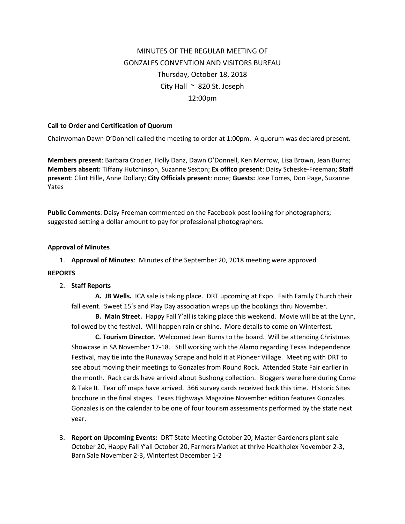# MINUTES OF THE REGULAR MEETING OF GONZALES CONVENTION AND VISITORS BUREAU Thursday, October 18, 2018 City Hall  $\sim$  820 St. Joseph 12:00pm

### **Call to Order and Certification of Quorum**

Chairwoman Dawn O'Donnell called the meeting to order at 1:00pm. A quorum was declared present.

**Members present**: Barbara Crozier, Holly Danz, Dawn O'Donnell, Ken Morrow, Lisa Brown, Jean Burns; **Members absent:** Tiffany Hutchinson, Suzanne Sexton; **Ex offico present**: Daisy Scheske-Freeman; **Staff present**: Clint Hille, Anne Dollary; **City Officials present**: none; **Guests:** Jose Torres, Don Page, Suzanne Yates

**Public Comments**: Daisy Freeman commented on the Facebook post looking for photographers; suggested setting a dollar amount to pay for professional photographers.

#### **Approval of Minutes**

1. **Approval of Minutes**: Minutes of the September 20, 2018 meeting were approved

#### **REPORTS**

2. **Staff Reports**

**A. JB Wells.** ICA sale is taking place. DRT upcoming at Expo. Faith Family Church their fall event. Sweet 15's and Play Day association wraps up the bookings thru November.

**B. Main Street.** Happy Fall Y'all is taking place this weekend. Movie will be at the Lynn, followed by the festival. Will happen rain or shine. More details to come on Winterfest.

**C. Tourism Director.** Welcomed Jean Burns to the board. Will be attending Christmas Showcase in SA November 17-18. Still working with the Alamo regarding Texas Independence Festival, may tie into the Runaway Scrape and hold it at Pioneer Village. Meeting with DRT to see about moving their meetings to Gonzales from Round Rock. Attended State Fair earlier in the month. Rack cards have arrived about Bushong collection. Bloggers were here during Come & Take It. Tear off maps have arrived. 366 survey cards received back this time. Historic Sites brochure in the final stages. Texas Highways Magazine November edition features Gonzales. Gonzales is on the calendar to be one of four tourism assessments performed by the state next year.

3. **Report on Upcoming Events:** DRT State Meeting October 20, Master Gardeners plant sale October 20, Happy Fall Y'all October 20, Farmers Market at thrive Healthplex November 2-3, Barn Sale November 2-3, Winterfest December 1-2